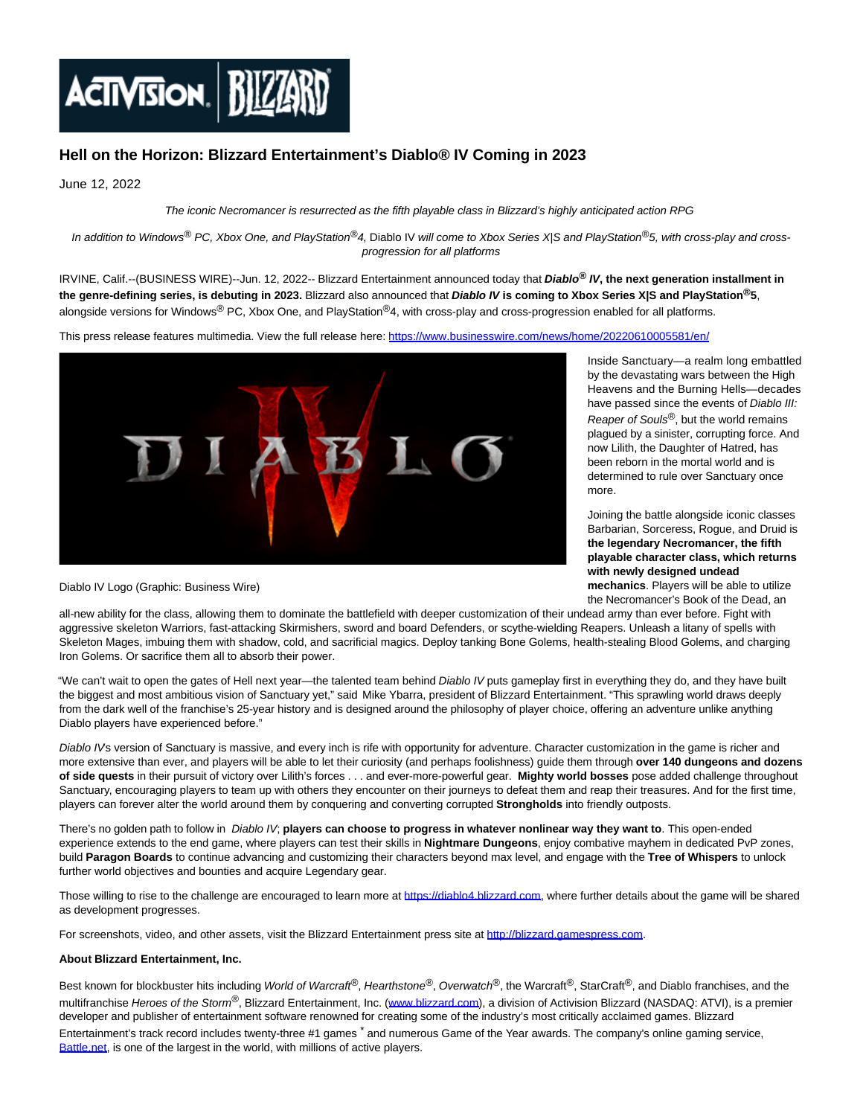

## **Hell on the Horizon: Blizzard Entertainment's Diablo® IV Coming in 2023**

June 12, 2022

The iconic Necromancer is resurrected as the fifth playable class in Blizzard's highly anticipated action RPG

In addition to Windows<sup>®</sup> PC, Xbox One, and PlayStation®4, Diablo IV will come to Xbox Series X|S and PlayStation®5, with cross-play and crossprogression for all platforms

IRVINE, Calif.--(BUSINESS WIRE)--Jun. 12, 2022-- Blizzard Entertainment announced today that **Diablo® IV, the next generation installment in the genre-defining series, is debuting in 2023.** Blizzard also announced that **Diablo IV is coming to Xbox Series X|S and PlayStation®5**, alongside versions for Windows® PC, Xbox One, and PlayStation®4, with cross-play and cross-progression enabled for all platforms.

This press release features multimedia. View the full release here:<https://www.businesswire.com/news/home/20220610005581/en/>



Inside Sanctuary—a realm long embattled by the devastating wars between the High Heavens and the Burning Hells—decades have passed since the events of Diablo III: Reaper of Souls<sup>®</sup>, but the world remains plagued by a sinister, corrupting force. And now Lilith, the Daughter of Hatred, has been reborn in the mortal world and is determined to rule over Sanctuary once more.

Joining the battle alongside iconic classes Barbarian, Sorceress, Rogue, and Druid is **the legendary Necromancer, the fifth playable character class, which returns with newly designed undead mechanics**. Players will be able to utilize the Necromancer's Book of the Dead, an

Diablo IV Logo (Graphic: Business Wire)

all-new ability for the class, allowing them to dominate the battlefield with deeper customization of their undead army than ever before. Fight with aggressive skeleton Warriors, fast-attacking Skirmishers, sword and board Defenders, or scythe-wielding Reapers. Unleash a litany of spells with Skeleton Mages, imbuing them with shadow, cold, and sacrificial magics. Deploy tanking Bone Golems, health-stealing Blood Golems, and charging Iron Golems. Or sacrifice them all to absorb their power.

"We can't wait to open the gates of Hell next year—the talented team behind Diablo IV puts gameplay first in everything they do, and they have built the biggest and most ambitious vision of Sanctuary yet," said Mike Ybarra, president of Blizzard Entertainment. "This sprawling world draws deeply from the dark well of the franchise's 25-year history and is designed around the philosophy of player choice, offering an adventure unlike anything Diablo players have experienced before."

Diablo IV's version of Sanctuary is massive, and every inch is rife with opportunity for adventure. Character customization in the game is richer and more extensive than ever, and players will be able to let their curiosity (and perhaps foolishness) guide them through **over 140 dungeons and dozens of side quests** in their pursuit of victory over Lilith's forces . . . and ever-more-powerful gear. **Mighty world bosses** pose added challenge throughout Sanctuary, encouraging players to team up with others they encounter on their journeys to defeat them and reap their treasures. And for the first time, players can forever alter the world around them by conquering and converting corrupted **Strongholds** into friendly outposts.

There's no golden path to follow in Diablo IV; **players can choose to progress in whatever nonlinear way they want to**. This open-ended experience extends to the end game, where players can test their skills in **Nightmare Dungeons**, enjoy combative mayhem in dedicated PvP zones, build **Paragon Boards** to continue advancing and customizing their characters beyond max level, and engage with the **Tree of Whispers** to unlock further world objectives and bounties and acquire Legendary gear.

Those willing to rise to the challenge are encouraged to learn more at [https://diablo4.blizzard.com,](https://cts.businesswire.com/ct/CT?id=smartlink&url=https%3A%2F%2Fdiablo4.blizzard.com%2F&esheet=52746482&newsitemid=20220610005581&lan=en-US&anchor=https%3A%2F%2Fdiablo4.blizzard.com&index=1&md5=bf95df2af528a4141befc4d03ac71603) where further details about the game will be shared as development progresses.

For screenshots, video, and other assets, visit the Blizzard Entertainment press site at [http://blizzard.gamespress.com.](https://cts.businesswire.com/ct/CT?id=smartlink&url=http%3A%2F%2Fblizzard.gamespress.com&esheet=52746482&newsitemid=20220610005581&lan=en-US&anchor=http%3A%2F%2Fblizzard.gamespress.com&index=2&md5=c6a98266f753387fe0d5c1ee7577ade2)

## **About Blizzard Entertainment, Inc.**

Best known for blockbuster hits including World of Warcraft®, Hearthstone®, Overwatch®, the Warcraft®, StarCraft®, and Diablo franchises, and the multifranchise Heroes of the Storm<sup>®</sup>, Blizzard Entertainment, Inc. [\(www.blizzard.com\),](https://cts.businesswire.com/ct/CT?id=smartlink&url=http%3A%2F%2Fwww.blizzard.com&esheet=52746482&newsitemid=20220610005581&lan=en-US&anchor=www.blizzard.com&index=3&md5=ffdf19371462c17988d473986139dc89) a division of Activision Blizzard (NASDAQ: ATVI), is a premier developer and publisher of entertainment software renowned for creating some of the industry's most critically acclaimed games. Blizzard Entertainment's track record includes twenty-three #1 games <sup>\*</sup> and numerous Game of the Year awards. The company's online gaming service, [Battle.net,](http://battle.net/) is one of the largest in the world, with millions of active players.